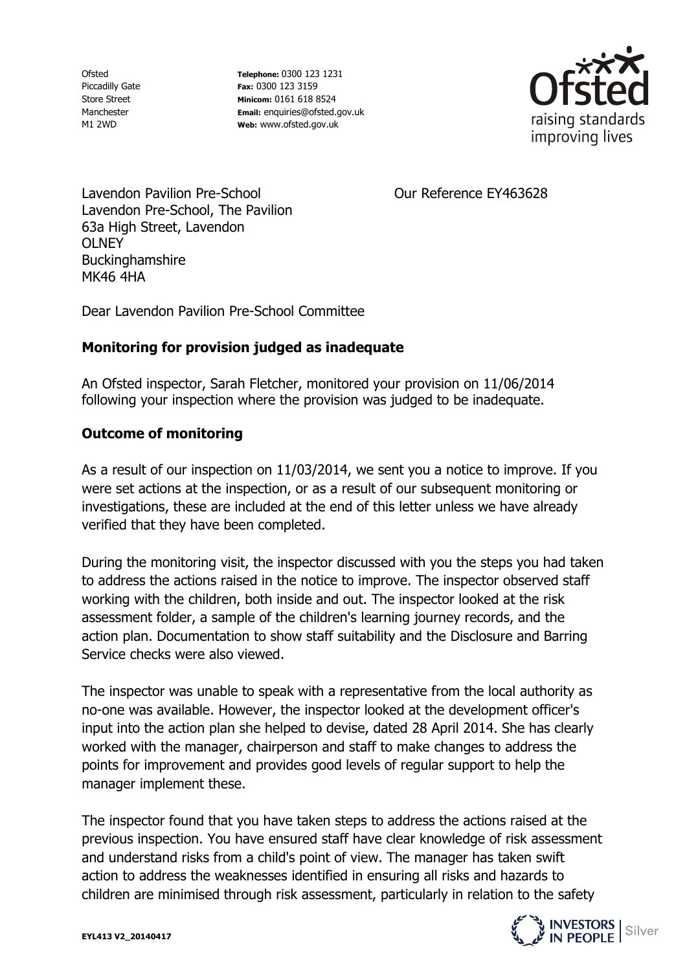Ofsted Piccadilly Gate Store Street Manchester M1 2WD

**Telephone:** 0300 123 1231 **Fax:** 0300 123 3159 **Minicom:** 0161 618 8524 **Email:** enquiries@ofsted.gov.uk **Web:** www.ofsted.gov.uk



Our Reference EY463628

Lavendon Pavilion Pre-School Lavendon Pre-School, The Pavilion 63a High Street, Lavendon **OLNEY** Buckinghamshire MK46 4HA

Dear Lavendon Pavilion Pre-School Committee

## **Monitoring for provision judged as inadequate**

An Ofsted inspector, Sarah Fletcher, monitored your provision on 11/06/2014 following your inspection where the provision was judged to be inadequate.

## **Outcome of monitoring**

As a result of our inspection on 11/03/2014, we sent you a notice to improve. If you were set actions at the inspection, or as a result of our subsequent monitoring or investigations, these are included at the end of this letter unless we have already verified that they have been completed.

During the monitoring visit, the inspector discussed with you the steps you had taken to address the actions raised in the notice to improve. The inspector observed staff working with the children, both inside and out. The inspector looked at the risk assessment folder, a sample of the children's learning journey records, and the action plan. Documentation to show staff suitability and the Disclosure and Barring Service checks were also viewed.

The inspector was unable to speak with a representative from the local authority as no-one was available. However, the inspector looked at the development officer's input into the action plan she helped to devise, dated 28 April 2014. She has clearly worked with the manager, chairperson and staff to make changes to address the points for improvement and provides good levels of regular support to help the manager implement these.

The inspector found that you have taken steps to address the actions raised at the previous inspection. You have ensured staff have clear knowledge of risk assessment and understand risks from a child's point of view. The manager has taken swift action to address the weaknesses identified in ensuring all risks and hazards to children are minimised through risk assessment, particularly in relation to the safety

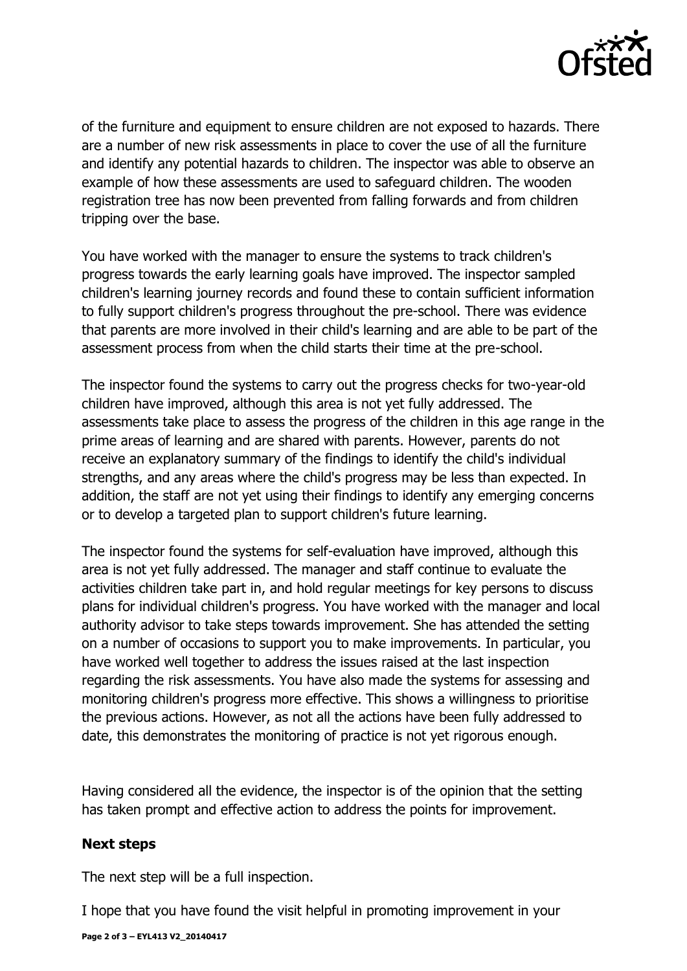

of the furniture and equipment to ensure children are not exposed to hazards. There are a number of new risk assessments in place to cover the use of all the furniture and identify any potential hazards to children. The inspector was able to observe an example of how these assessments are used to safeguard children. The wooden registration tree has now been prevented from falling forwards and from children tripping over the base.

You have worked with the manager to ensure the systems to track children's progress towards the early learning goals have improved. The inspector sampled children's learning journey records and found these to contain sufficient information to fully support children's progress throughout the pre-school. There was evidence that parents are more involved in their child's learning and are able to be part of the assessment process from when the child starts their time at the pre-school.

The inspector found the systems to carry out the progress checks for two-year-old children have improved, although this area is not yet fully addressed. The assessments take place to assess the progress of the children in this age range in the prime areas of learning and are shared with parents. However, parents do not receive an explanatory summary of the findings to identify the child's individual strengths, and any areas where the child's progress may be less than expected. In addition, the staff are not yet using their findings to identify any emerging concerns or to develop a targeted plan to support children's future learning.

The inspector found the systems for self-evaluation have improved, although this area is not yet fully addressed. The manager and staff continue to evaluate the activities children take part in, and hold regular meetings for key persons to discuss plans for individual children's progress. You have worked with the manager and local authority advisor to take steps towards improvement. She has attended the setting on a number of occasions to support you to make improvements. In particular, you have worked well together to address the issues raised at the last inspection regarding the risk assessments. You have also made the systems for assessing and monitoring children's progress more effective. This shows a willingness to prioritise the previous actions. However, as not all the actions have been fully addressed to date, this demonstrates the monitoring of practice is not yet rigorous enough.

Having considered all the evidence, the inspector is of the opinion that the setting has taken prompt and effective action to address the points for improvement.

## **Next steps**

The next step will be a full inspection.

I hope that you have found the visit helpful in promoting improvement in your